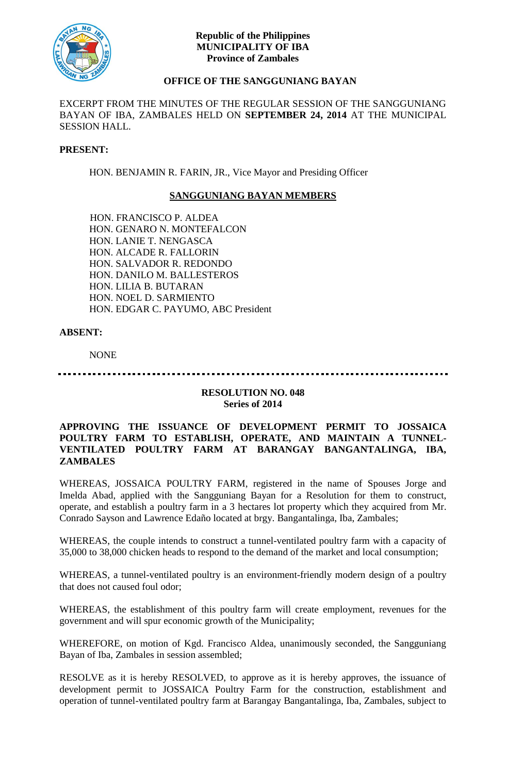

### **Republic of the Philippines MUNICIPALITY OF IBA Province of Zambales**

# **OFFICE OF THE SANGGUNIANG BAYAN**

EXCERPT FROM THE MINUTES OF THE REGULAR SESSION OF THE SANGGUNIANG BAYAN OF IBA, ZAMBALES HELD ON **SEPTEMBER 24, 2014** AT THE MUNICIPAL SESSION HALL.

#### **PRESENT:**

HON. BENJAMIN R. FARIN, JR., Vice Mayor and Presiding Officer

## **SANGGUNIANG BAYAN MEMBERS**

HON. FRANCISCO P. ALDEA HON. GENARO N. MONTEFALCON HON. LANIE T. NENGASCA HON. ALCADE R. FALLORIN HON. SALVADOR R. REDONDO HON. DANILO M. BALLESTEROS HON. LILIA B. BUTARAN HON. NOEL D. SARMIENTO HON. EDGAR C. PAYUMO, ABC President

### **ABSENT:**

NONE

### . **. . . . . . . . . . . . . . . . . .** .

### **RESOLUTION NO. 048 Series of 2014**

### **APPROVING THE ISSUANCE OF DEVELOPMENT PERMIT TO JOSSAICA POULTRY FARM TO ESTABLISH, OPERATE, AND MAINTAIN A TUNNEL-VENTILATED POULTRY FARM AT BARANGAY BANGANTALINGA, IBA, ZAMBALES**

WHEREAS, JOSSAICA POULTRY FARM, registered in the name of Spouses Jorge and Imelda Abad, applied with the Sangguniang Bayan for a Resolution for them to construct, operate, and establish a poultry farm in a 3 hectares lot property which they acquired from Mr. Conrado Sayson and Lawrence Edaño located at brgy. Bangantalinga, Iba, Zambales;

WHEREAS, the couple intends to construct a tunnel-ventilated poultry farm with a capacity of 35,000 to 38,000 chicken heads to respond to the demand of the market and local consumption;

WHEREAS, a tunnel-ventilated poultry is an environment-friendly modern design of a poultry that does not caused foul odor;

WHEREAS, the establishment of this poultry farm will create employment, revenues for the government and will spur economic growth of the Municipality;

WHEREFORE, on motion of Kgd. Francisco Aldea, unanimously seconded, the Sangguniang Bayan of Iba, Zambales in session assembled;

RESOLVE as it is hereby RESOLVED, to approve as it is hereby approves, the issuance of development permit to JOSSAICA Poultry Farm for the construction, establishment and operation of tunnel-ventilated poultry farm at Barangay Bangantalinga, Iba, Zambales, subject to